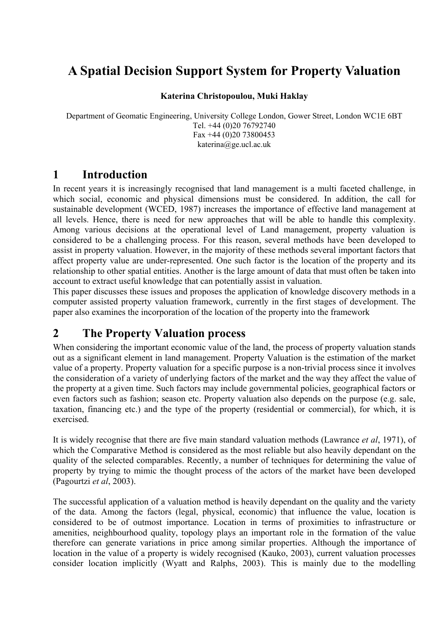# **A Spatial Decision Support System for Property Valuation**

#### **Katerina Christopoulou, Muki Haklay**

Department of Geomatic Engineering, University College London, Gower Street, London WC1E 6BT Tel. +44 (0)20 76792740 Fax  $+44$  (0)20 73800453 katerina@ge.ucl.ac.uk

### **1 Introduction**

In recent years it is increasingly recognised that land management is a multi faceted challenge, in which social, economic and physical dimensions must be considered. In addition, the call for sustainable development (WCED, 1987) increases the importance of effective land management at all levels. Hence, there is need for new approaches that will be able to handle this complexity. Among various decisions at the operational level of Land management, property valuation is considered to be a challenging process. For this reason, several methods have been developed to assist in property valuation. However, in the majority of these methods several important factors that affect property value are under-represented. One such factor is the location of the property and its relationship to other spatial entities. Another is the large amount of data that must often be taken into account to extract useful knowledge that can potentially assist in valuation.

This paper discusses these issues and proposes the application of knowledge discovery methods in a computer assisted property valuation framework, currently in the first stages of development. The paper also examines the incorporation of the location of the property into the framework

### **2 The Property Valuation process**

When considering the important economic value of the land, the process of property valuation stands out as a significant element in land management. Property Valuation is the estimation of the market value of a property. Property valuation for a specific purpose is a non-trivial process since it involves the consideration of a variety of underlying factors of the market and the way they affect the value of the property at a given time. Such factors may include governmental policies, geographical factors or even factors such as fashion; season etc. Property valuation also depends on the purpose (e.g. sale, taxation, financing etc.) and the type of the property (residential or commercial), for which, it is exercised.

It is widely recognise that there are five main standard valuation methods (Lawrance *et al*, 1971), of which the Comparative Method is considered as the most reliable but also heavily dependant on the quality of the selected comparables. Recently, a number of techniques for determining the value of property by trying to mimic the thought process of the actors of the market have been developed (Pagourtzi *et al*, 2003).

The successful application of a valuation method is heavily dependant on the quality and the variety of the data. Among the factors (legal, physical, economic) that influence the value, location is considered to be of outmost importance. Location in terms of proximities to infrastructure or amenities, neighbourhood quality, topology plays an important role in the formation of the value therefore can generate variations in price among similar properties. Although the importance of location in the value of a property is widely recognised (Kauko, 2003), current valuation processes consider location implicitly (Wyatt and Ralphs, 2003). This is mainly due to the modelling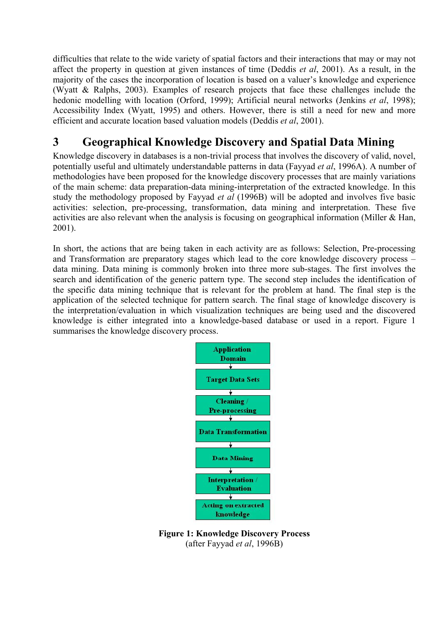difficulties that relate to the wide variety of spatial factors and their interactions that may or may not affect the property in question at given instances of time (Deddis *et al*, 2001). As a result, in the majority of the cases the incorporation of location is based on a valuer's knowledge and experience (Wyatt & Ralphs, 2003). Examples of research projects that face these challenges include the hedonic modelling with location (Orford, 1999); Artificial neural networks (Jenkins *et al*, 1998); Accessibility Index (Wyatt, 1995) and others. However, there is still a need for new and more efficient and accurate location based valuation models (Deddis *et al*, 2001).

### **3 Geographical Knowledge Discovery and Spatial Data Mining**

Knowledge discovery in databases is a non-trivial process that involves the discovery of valid, novel, potentially useful and ultimately understandable patterns in data (Fayyad *et al*, 1996A). A number of methodologies have been proposed for the knowledge discovery processes that are mainly variations of the main scheme: data preparation-data mining-interpretation of the extracted knowledge. In this study the methodology proposed by Fayyad *et al* (1996B) will be adopted and involves five basic activities: selection, pre-processing, transformation, data mining and interpretation. These five activities are also relevant when the analysis is focusing on geographical information (Miller & Han, 2001).

In short, the actions that are being taken in each activity are as follows: Selection, Pre-processing and Transformation are preparatory stages which lead to the core knowledge discovery process – data mining. Data mining is commonly broken into three more sub-stages. The first involves the search and identification of the generic pattern type. The second step includes the identification of the specific data mining technique that is relevant for the problem at hand. The final step is the application of the selected technique for pattern search. The final stage of knowledge discovery is the interpretation/evaluation in which visualization techniques are being used and the discovered knowledge is either integrated into a knowledge-based database or used in a report. Figure 1 summarises the knowledge discovery process.



**Figure 1: Knowledge Discovery Process**  (after Fayyad *et al*, 1996B)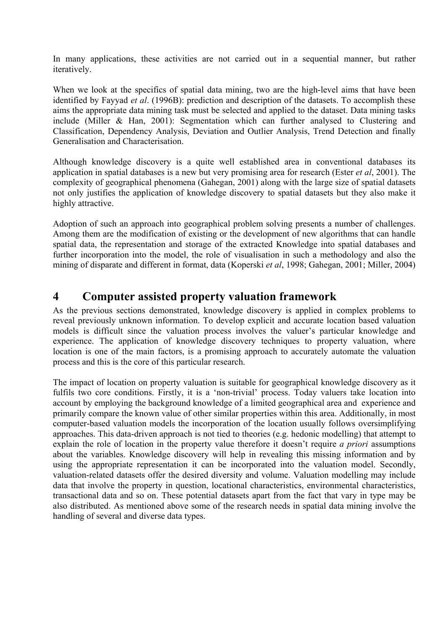In many applications, these activities are not carried out in a sequential manner, but rather iteratively.

When we look at the specifics of spatial data mining, two are the high-level aims that have been identified by Fayyad *et al*. (1996B): prediction and description of the datasets. To accomplish these aims the appropriate data mining task must be selected and applied to the dataset. Data mining tasks include (Miller & Han, 2001): Segmentation which can further analysed to Clustering and Classification, Dependency Analysis, Deviation and Outlier Analysis, Trend Detection and finally Generalisation and Characterisation.

Although knowledge discovery is a quite well established area in conventional databases its application in spatial databases is a new but very promising area for research (Ester *et al*, 2001). The complexity of geographical phenomena (Gahegan, 2001) along with the large size of spatial datasets not only justifies the application of knowledge discovery to spatial datasets but they also make it highly attractive.

Adoption of such an approach into geographical problem solving presents a number of challenges. Among them are the modification of existing or the development of new algorithms that can handle spatial data, the representation and storage of the extracted Knowledge into spatial databases and further incorporation into the model, the role of visualisation in such a methodology and also the mining of disparate and different in format, data (Koperski *et al*, 1998; Gahegan, 2001; Miller, 2004)

### **4 Computer assisted property valuation framework**

As the previous sections demonstrated, knowledge discovery is applied in complex problems to reveal previously unknown information. To develop explicit and accurate location based valuation models is difficult since the valuation process involves the valuer's particular knowledge and experience. The application of knowledge discovery techniques to property valuation, where location is one of the main factors, is a promising approach to accurately automate the valuation process and this is the core of this particular research.

The impact of location on property valuation is suitable for geographical knowledge discovery as it fulfils two core conditions. Firstly, it is a 'non-trivial' process. Today valuers take location into account by employing the background knowledge of a limited geographical area and experience and primarily compare the known value of other similar properties within this area. Additionally, in most computer-based valuation models the incorporation of the location usually follows oversimplifying approaches. This data-driven approach is not tied to theories (e.g. hedonic modelling) that attempt to explain the role of location in the property value therefore it doesn't require *a priori* assumptions about the variables. Knowledge discovery will help in revealing this missing information and by using the appropriate representation it can be incorporated into the valuation model. Secondly, valuation-related datasets offer the desired diversity and volume. Valuation modelling may include data that involve the property in question, locational characteristics, environmental characteristics, transactional data and so on. These potential datasets apart from the fact that vary in type may be also distributed. As mentioned above some of the research needs in spatial data mining involve the handling of several and diverse data types.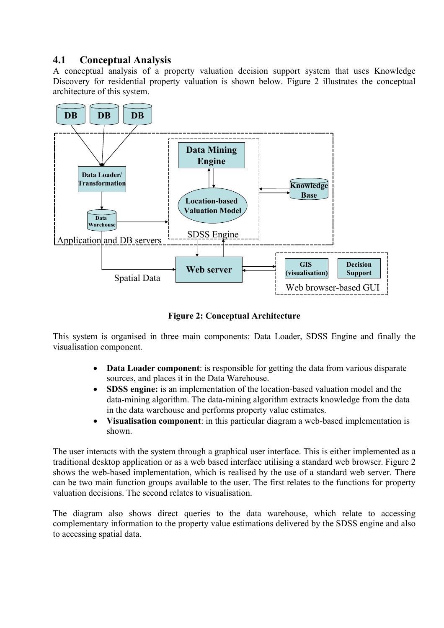#### **4.1 Conceptual Analysis**

A conceptual analysis of a property valuation decision support system that uses Knowledge Discovery for residential property valuation is shown below. Figure 2 illustrates the conceptual architecture of this system.



**Figure 2: Conceptual Architecture** 

This system is organised in three main components: Data Loader, SDSS Engine and finally the visualisation component.

- **Data Loader component**: is responsible for getting the data from various disparate sources, and places it in the Data Warehouse.
- **SDSS engine:** is an implementation of the location-based valuation model and the data-mining algorithm. The data-mining algorithm extracts knowledge from the data in the data warehouse and performs property value estimates.
- **Visualisation component**: in this particular diagram a web-based implementation is shown.

The user interacts with the system through a graphical user interface. This is either implemented as a traditional desktop application or as a web based interface utilising a standard web browser. Figure 2 shows the web-based implementation, which is realised by the use of a standard web server. There can be two main function groups available to the user. The first relates to the functions for property valuation decisions. The second relates to visualisation.

The diagram also shows direct queries to the data warehouse, which relate to accessing complementary information to the property value estimations delivered by the SDSS engine and also to accessing spatial data.